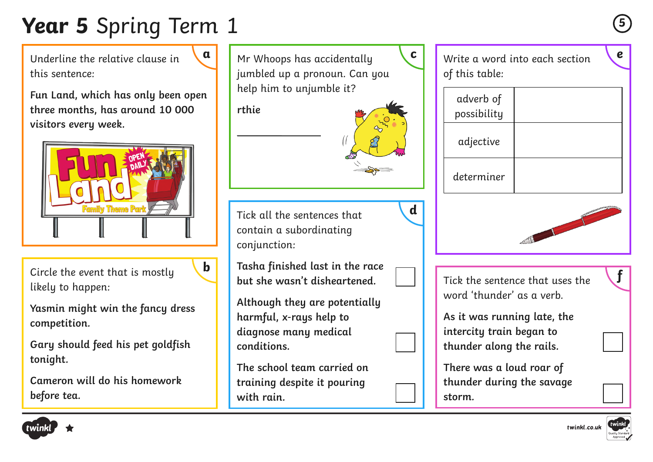# **Year 5** Spring Term 1 **<sup>5</sup>**

Underline the relative clause in this sentence:

**Fun Land, which has only been open three months, has around 10 000 visitors every week.** 



Circle the event that is mostly likely to happen:

**Yasmin might win the fancy dress competition.**

**Gary should feed his pet goldfish tonight.**

**Cameron will do his homework before tea.** 





| adverb of<br>possibility |  |
|--------------------------|--|
| adjective                |  |
| determiner               |  |



Tick the sentence that uses the word 'thunder' as a verb.

**As it was running late, the intercity train began to thunder along the rails.**

**There was a loud roar of thunder during the savage** 

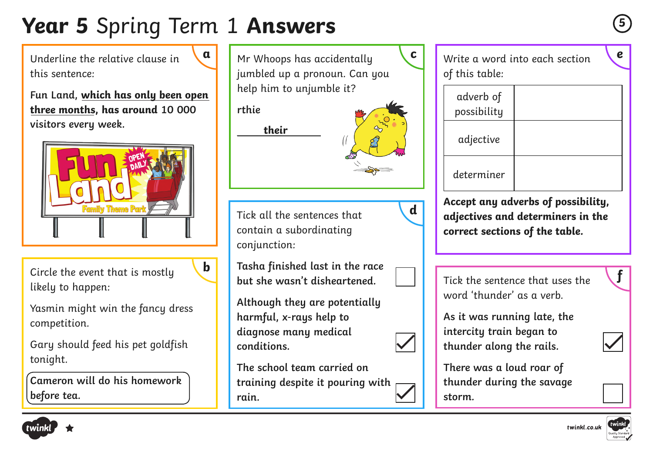# **Year 5** Spring Term 1 **Answers**

Underline the relative clause in this sentence:

**Fun Land, which has only been open three months, has around 10 000 visitors every week.** 



Circle the event that is mostly likely to happen:

Yasmin might win the fancy dress competition.

Gary should feed his pet goldfish tonight.

**Cameron will do his homework before tea.** 



of this table:

| adverb of<br>possibility |  |
|--------------------------|--|
| adjective                |  |
| determiner               |  |

**Accept any adverbs of possibility, adjectives and determiners in the correct sections of the table.**

Tick the sentence that uses the word 'thunder' as a verb.

**As it was running late, the intercity train began to thunder along the rails.**

**There was a loud roar of thunder during the savage storm.**







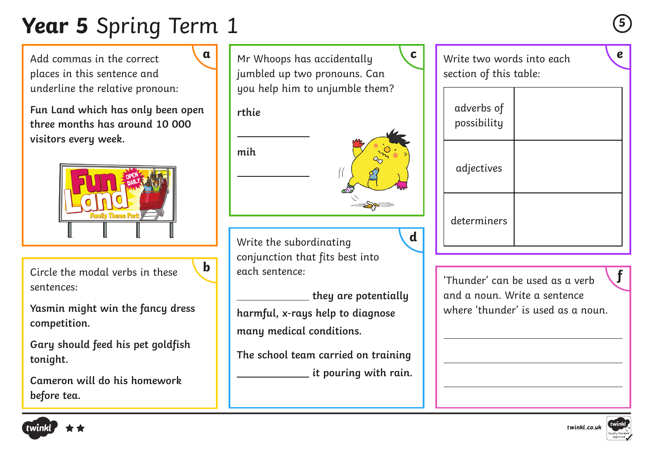# **Year 5** Spring Term 1 **<sup>5</sup>**

Add commas in the correct places in this sentence and underline the relative pronoun:

**Fun Land which has only been open three months has around 10 000 visitors every week.**



Circle the modal verbs in these sentences:

**Yasmin might win the fancy dress competition.**

**Gary should feed his pet goldfish tonight.**

**Cameron will do his homework before tea.** 



**rthie**

**mih**



**d**

Write the subordinating conjunction that fits best into each sentence: **h** each sentence: Thunder' can be used as a verb

 **they are potentially harmful, x-rays help to diagnose many medical conditions.** 

**The school team carried on training it pouring with rain.**  Write two words into each section of this table:

| adverbs of<br>possibility |  |
|---------------------------|--|
| adjectives                |  |
| determiners               |  |

and a noun. Write a sentence where 'thunder' is used as a noun.





twinkl.co.uk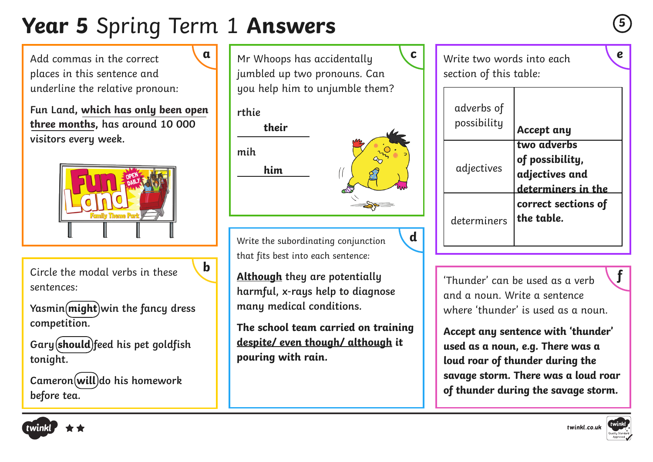## **Year 5** Spring Term 1 **Answers**

Add commas in the correct places in this sentence and underline the relative pronoun:

**Fun Land, which has only been open three months, has around 10 000 visitors every week.**



Circle the modal verbs in these sentences:

**Yasmin**(*might*) win the fancy dress **competition.**

**Gary should feed his pet goldfish tonight.**

**Cameron will do his homework before tea.** 

**a** Mr Whoops has accidentally **c** Write two words into each jumbled up two pronouns. Can you help him to unjumble them?

#### **rthie**



**d**

Write the subordinating conjunction that fits best into each sentence:

**h** Although they are potentially and the state of thunder' can be used as a verb **harmful, x-rays help to diagnose many medical conditions.** 

**The school team carried on training despite/ even though/ although it pouring with rain.** 

Write two words into each section of this table:

| adverbs of<br>possibility | <b>Accept any</b>                                                      |
|---------------------------|------------------------------------------------------------------------|
| adjectives                | two adverbs<br>of possibility,<br>adjectives and<br>determiners in the |
| determiners               | correct sections of<br>the table.                                      |

'Thunder' can be used as a verb and a noun. Write a sentence where 'thunder' is used as a noun.

**Accept any sentence with 'thunder' used as a noun, e.g. There was a loud roar of thunder during the savage storm. There was a loud roar of thunder during the savage storm.**







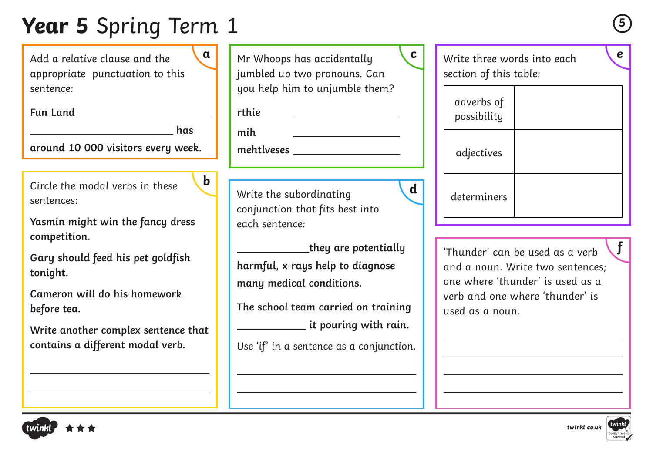### **Year 5** Spring Term 1 **<sup>5</sup>**

Add a relative clause and the appropriate punctuation to this sentence:

**Fun Land** 

**has a** has **has** 

**b**

**around 10 000 visitors every week.**

Circle the modal verbs in these sentences:

**Yasmin might win the fancy dress competition.**

**Gary should feed his pet goldfish tonight.**

**Cameron will do his homework before tea.** 

**Write another complex sentence that contains a different modal verb.**

| a           | Mr Whoops has accidentally<br>jumbled up two pronouns. Can                                                                                                                                       | $\mathbf{C}$<br>Write three words into each<br>section of this table:                                                                                                        |  |
|-------------|--------------------------------------------------------------------------------------------------------------------------------------------------------------------------------------------------|------------------------------------------------------------------------------------------------------------------------------------------------------------------------------|--|
|             | you help him to unjumble them?<br>rthie                                                                                                                                                          | adverbs of<br>possibility                                                                                                                                                    |  |
|             | mih<br>$m$ ehtlveses _____________________                                                                                                                                                       | adjectives                                                                                                                                                                   |  |
| $\mathbf b$ | $\mathbf d$<br>Write the subordinating<br>conjunction that fits best into<br>each sentence:                                                                                                      | determiners                                                                                                                                                                  |  |
| ιt          | they are potentially<br>harmful, x-rays help to diagnose<br>many medical conditions.<br>The school team carried on training<br>it pouring with rain.<br>Use 'if' in a sentence as a conjunction. | $\mathbf f$<br>'Thunder' can be used as a verb<br>and a noun. Write two sentences;<br>one where 'thunder' is used as a<br>verb and one where 'thunder' is<br>used as a noun. |  |

| adverbs of<br>possibility |  |
|---------------------------|--|
| adjectives                |  |
| determiners               |  |